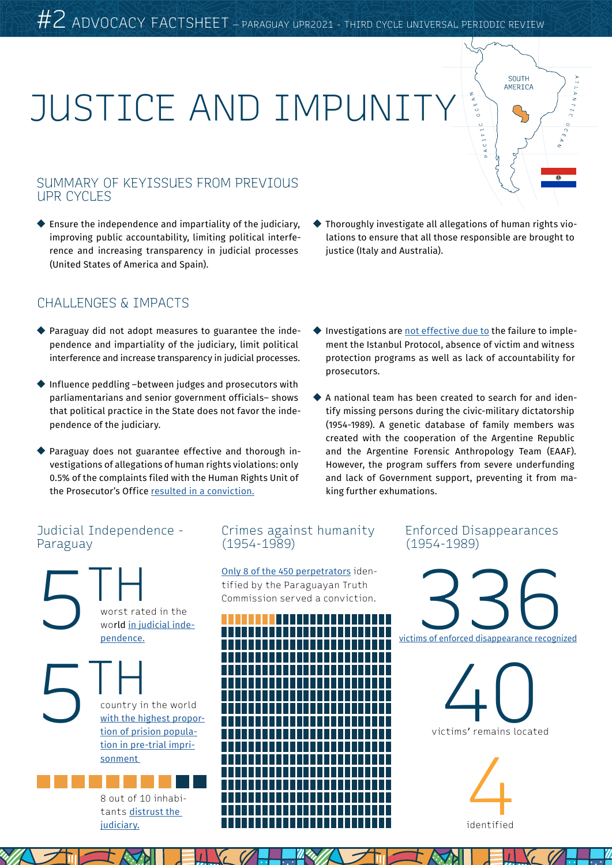# JUSTICE AND IMPUNITY

#### SUMMARY OF KEYISSUES FROM PREVIOUS UPR CYCLES

 $\blacklozenge$  Ensure the independence and impartiality of the judiciary, improving public accountability, limiting political interference and increasing transparency in judicial processes (United States of America and Spain).

#### CHALLENGES & IMPACTS

- Paraguay did not adopt measures to guarantee the independence and impartiality of the judiciary, limit political interference and increase transparency in judicial processes.
- Influence peddling –between judges and prosecutors with parliamentarians and senior government officials– shows that political practice in the State does not favor the independence of the judiciary.
- Paraguay does not guarantee effective and thorough investigations of allegations of human rights violations: only 0.5% of the complaints filed with the Human Rights Unit of the Prosecutor's Office [resulted in a conviction.](http://codehupy.org.py/ddhh2020/pandemia-de-garrotazos/)

Thoroughly investigate all allegations of human rights violations to ensure that all those responsible are brought to justice (Italy and Australia).

SOUTH AMERICA

- Investigations are [not effective due to](http://codehupy.org.py/wp-content/uploads/2017/11/IMPUNIDAD-FINAL-COMPLETO-31octOK.pdf) the failure to implement the Istanbul Protocol, absence of victim and witness protection programs as well as lack of accountability for prosecutors.
- A national team has been created to search for and identify missing persons during the civic-military dictatorship (1954-1989). A genetic database of family members was created with the cooperation of the Argentine Republic and the Argentine Forensic Anthropology Team (EAAF). However, the program suffers from severe underfunding and lack of Government support, preventing it from making further exhumations.

#### Judicial Independence - Paraguay



[judiciary.](https://www.latinobarometro.org/latdocs/INFORME_2018_LATINOBAROMETRO.pdf)

#### Crimes against humanity (1954-1989)

[Only 8 of the 450 perpetrators](http://codehupy.org.py/ddhh2020/wp-content/uploads/2020/12/VIDA-Verdad-justicia-y-reparacion__WEB.pdf) identified by the Paraguayan Truth Commission served a conviction.



#### Enforced Disappearances (1954-1989)